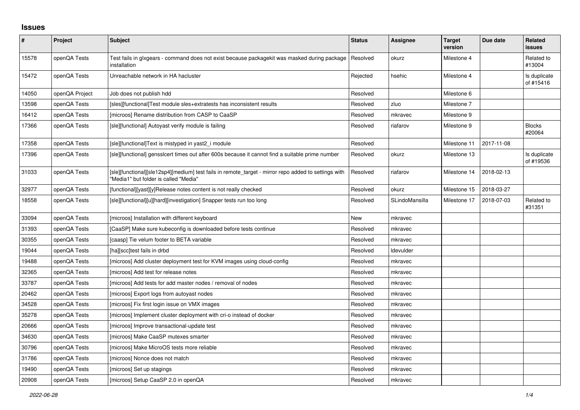## **Issues**

| $\sharp$ | <b>Project</b> | <b>Subject</b>                                                                                                                                | <b>Status</b> | <b>Assignee</b> | <b>Target</b><br>version | Due date   | Related<br><b>issues</b>  |
|----------|----------------|-----------------------------------------------------------------------------------------------------------------------------------------------|---------------|-----------------|--------------------------|------------|---------------------------|
| 15578    | openQA Tests   | Test fails in glxgears - command does not exist because packagekit was masked during package<br>installation                                  | Resolved      | okurz           | Milestone 4              |            | Related to<br>#13004      |
| 15472    | openQA Tests   | Unreachable network in HA hacluster                                                                                                           | Rejected      | hsehic          | Milestone 4              |            | Is duplicate<br>of #15416 |
| 14050    | openQA Project | Job does not publish hdd                                                                                                                      | Resolved      |                 | Milestone 6              |            |                           |
| 13598    | openQA Tests   | [sles][functional]Test module sles+extratests has inconsistent results                                                                        | Resolved      | zluo            | Milestone 7              |            |                           |
| 16412    | openQA Tests   | [microos] Rename distribution from CASP to CaaSP                                                                                              | Resolved      | mkravec         | Milestone 9              |            |                           |
| 17366    | openQA Tests   | [sle][functional] Autoyast verify module is failing                                                                                           | Resolved      | riafarov        | Milestone 9              |            | <b>Blocks</b><br>#20064   |
| 17358    | openQA Tests   | [sle][functional]Text is mistyped in yast2_i module                                                                                           | Resolved      |                 | Milestone 11             | 2017-11-08 |                           |
| 17396    | openQA Tests   | [sle][functional] gensslcert times out after 600s because it cannot find a suitable prime number                                              | Resolved      | okurz           | Milestone 13             |            | Is duplicate<br>of #19536 |
| 31033    | openQA Tests   | [sle][functional][sle12sp4][medium] test fails in remote_target - mirror repo added to settings with<br>"Media1" but folder is called "Media" | Resolved      | riafarov        | Milestone 14             | 2018-02-13 |                           |
| 32977    | openQA Tests   | [functional][yast][y]Release notes content is not really checked                                                                              | Resolved      | okurz           | Milestone 15             | 2018-03-27 |                           |
| 18558    | openQA Tests   | [sle][functional][u][hard][investigation] Snapper tests run too long                                                                          | Resolved      | SLindoMansilla  | Milestone 17             | 2018-07-03 | Related to<br>#31351      |
| 33094    | openQA Tests   | [microos] Installation with different keyboard                                                                                                | New           | mkravec         |                          |            |                           |
| 31393    | openQA Tests   | [CaaSP] Make sure kubeconfig is downloaded before tests continue                                                                              | Resolved      | mkravec         |                          |            |                           |
| 30355    | openQA Tests   | [caasp] Tie velum footer to BETA variable                                                                                                     | Resolved      | mkravec         |                          |            |                           |
| 19044    | openQA Tests   | [ha][scc]test fails in drbd                                                                                                                   | Resolved      | Idevulder       |                          |            |                           |
| 19488    | openQA Tests   | [microos] Add cluster deployment test for KVM images using cloud-config                                                                       | Resolved      | mkravec         |                          |            |                           |
| 32365    | openQA Tests   | [microos] Add test for release notes                                                                                                          | Resolved      | mkravec         |                          |            |                           |
| 33787    | openQA Tests   | [microos] Add tests for add master nodes / removal of nodes                                                                                   | Resolved      | mkravec         |                          |            |                           |
| 20462    | openQA Tests   | [microos] Export logs from autoyast nodes                                                                                                     | Resolved      | mkravec         |                          |            |                           |
| 34528    | openQA Tests   | [microos] Fix first login issue on VMX images                                                                                                 | Resolved      | mkravec         |                          |            |                           |
| 35278    | openQA Tests   | [microos] Implement cluster deployment with cri-o instead of docker                                                                           | Resolved      | mkravec         |                          |            |                           |
| 20666    | openQA Tests   | [microos] Improve transactional-update test                                                                                                   | Resolved      | mkravec         |                          |            |                           |
| 34630    | openQA Tests   | [microos] Make CaaSP mutexes smarter                                                                                                          | Resolved      | mkravec         |                          |            |                           |
| 30796    | openQA Tests   | [microos] Make MicroOS tests more reliable                                                                                                    | Resolved      | mkravec         |                          |            |                           |
| 31786    | openQA Tests   | [microos] Nonce does not match                                                                                                                | Resolved      | mkravec         |                          |            |                           |
| 19490    | openQA Tests   | [microos] Set up stagings                                                                                                                     | Resolved      | mkravec         |                          |            |                           |
| 20908    | openQA Tests   | [microos] Setup CaaSP 2.0 in openQA                                                                                                           | Resolved      | mkravec         |                          |            |                           |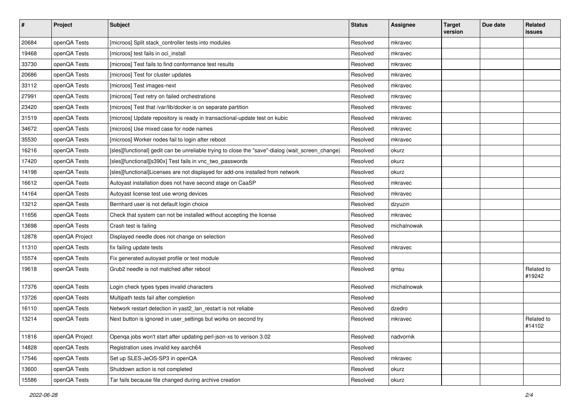| $\vert$ # | Project        | <b>Subject</b>                                                                                    | <b>Status</b> | <b>Assignee</b> | <b>Target</b><br>version | Due date | Related<br>issues    |
|-----------|----------------|---------------------------------------------------------------------------------------------------|---------------|-----------------|--------------------------|----------|----------------------|
| 20684     | openQA Tests   | [microos] Split stack_controller tests into modules                                               | Resolved      | mkravec         |                          |          |                      |
| 19468     | openQA Tests   | [microos] test fails in oci_install                                                               | Resolved      | mkravec         |                          |          |                      |
| 33730     | openQA Tests   | [microos] Test fails to find conformance test results                                             | Resolved      | mkravec         |                          |          |                      |
| 20686     | openQA Tests   | [microos] Test for cluster updates                                                                | Resolved      | mkravec         |                          |          |                      |
| 33112     | openQA Tests   | [microos] Test images-next                                                                        | Resolved      | mkravec         |                          |          |                      |
| 27991     | openQA Tests   | [microos] Test retry on failed orchestrations                                                     | Resolved      | mkravec         |                          |          |                      |
| 23420     | openQA Tests   | [microos] Test that /var/lib/docker is on separate partition                                      | Resolved      | mkravec         |                          |          |                      |
| 31519     | openQA Tests   | [microos] Update repository is ready in transactional-update test on kubic                        | Resolved      | mkravec         |                          |          |                      |
| 34672     | openQA Tests   | [microos] Use mixed case for node names                                                           | Resolved      | mkravec         |                          |          |                      |
| 35530     | openQA Tests   | [microos] Worker nodes fail to login after reboot                                                 | Resolved      | mkravec         |                          |          |                      |
| 16216     | openQA Tests   | [sles][functional] gedit can be unreliable trying to close the "save"-dialog (wait_screen_change) | Resolved      | okurz           |                          |          |                      |
| 17420     | openQA Tests   | [sles][functional][s390x] Test fails in vnc_two_passwords                                         | Resolved      | okurz           |                          |          |                      |
| 14198     | openQA Tests   | [sles][functional]Licenses are not displayed for add-ons installed from network                   | Resolved      | okurz           |                          |          |                      |
| 16612     | openQA Tests   | Autoyast installation does not have second stage on CaaSP                                         | Resolved      | mkravec         |                          |          |                      |
| 14164     | openQA Tests   | Autoyast license test use wrong devices                                                           | Resolved      | mkravec         |                          |          |                      |
| 13212     | openQA Tests   | Bernhard user is not default login choice                                                         | Resolved      | dzyuzin         |                          |          |                      |
| 11656     | openQA Tests   | Check that system can not be installed without accepting the license                              | Resolved      | mkravec         |                          |          |                      |
| 13698     | openQA Tests   | Crash test is failing                                                                             | Resolved      | michalnowak     |                          |          |                      |
| 12878     | openQA Project | Displayed needle does not change on selection                                                     | Resolved      |                 |                          |          |                      |
| 11310     | openQA Tests   | fix failing update tests                                                                          | Resolved      | mkravec         |                          |          |                      |
| 15574     | openQA Tests   | Fix generated autoyast profile or test module                                                     | Resolved      |                 |                          |          |                      |
| 19618     | openQA Tests   | Grub2 needle is not matched after reboot                                                          | Resolved      | qmsu            |                          |          | Related to<br>#19242 |
| 17376     | openQA Tests   | Login check types types invalid characters                                                        | Resolved      | michalnowak     |                          |          |                      |
| 13726     | openQA Tests   | Multipath tests fail after completion                                                             | Resolved      |                 |                          |          |                      |
| 16110     | openQA Tests   | Network restart detection in yast2_lan_restart is not reliabe                                     | Resolved      | dzedro          |                          |          |                      |
| 13214     | openQA Tests   | Next button is ignored in user_settings but works on second try                                   | Resolved      | mkravec         |                          |          | Related to<br>#14102 |
| 11816     | openQA Project | Openga jobs won't start after updating perl-json-xs to verison 3.02                               | Resolved      | nadvornik       |                          |          |                      |
| 14828     | openQA Tests   | Registration uses invalid key aarch64                                                             | Resolved      |                 |                          |          |                      |
| 17546     | openQA Tests   | Set up SLES-JeOS-SP3 in openQA                                                                    | Resolved      | mkravec         |                          |          |                      |
| 13600     | openQA Tests   | Shutdown action is not completed                                                                  | Resolved      | okurz           |                          |          |                      |
| 15586     | openQA Tests   | Tar fails because file changed during archive creation                                            | Resolved      | okurz           |                          |          |                      |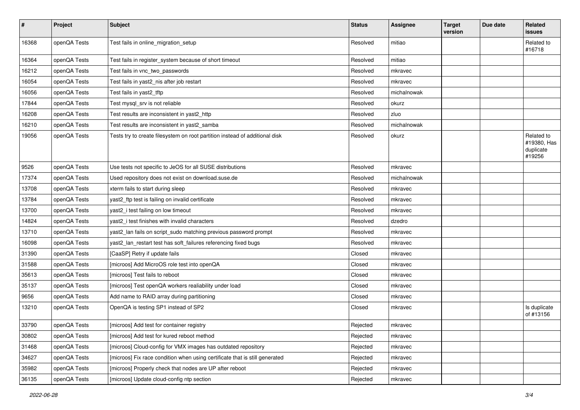| $\pmb{\#}$ | Project      | <b>Subject</b>                                                              | <b>Status</b> | <b>Assignee</b> | <b>Target</b><br>version | Due date | Related<br>issues                                |
|------------|--------------|-----------------------------------------------------------------------------|---------------|-----------------|--------------------------|----------|--------------------------------------------------|
| 16368      | openQA Tests | Test fails in online_migration_setup                                        | Resolved      | mitiao          |                          |          | Related to<br>#16718                             |
| 16364      | openQA Tests | Test fails in register_system because of short timeout                      | Resolved      | mitiao          |                          |          |                                                  |
| 16212      | openQA Tests | Test fails in vnc_two_passwords                                             | Resolved      | mkravec         |                          |          |                                                  |
| 16054      | openQA Tests | Test fails in yast2_nis after job restart                                   | Resolved      | mkravec         |                          |          |                                                  |
| 16056      | openQA Tests | Test fails in yast2_tftp                                                    | Resolved      | michalnowak     |                          |          |                                                  |
| 17844      | openQA Tests | Test mysql_srv is not reliable                                              | Resolved      | okurz           |                          |          |                                                  |
| 16208      | openQA Tests | Test results are inconsistent in yast2_http                                 | Resolved      | zluo            |                          |          |                                                  |
| 16210      | openQA Tests | Test results are inconsistent in yast2_samba                                | Resolved      | michalnowak     |                          |          |                                                  |
| 19056      | openQA Tests | Tests try to create filesystem on root partition instead of additional disk | Resolved      | okurz           |                          |          | Related to<br>#19380, Has<br>duplicate<br>#19256 |
| 9526       | openQA Tests | Use tests not specific to JeOS for all SUSE distributions                   | Resolved      | mkravec         |                          |          |                                                  |
| 17374      | openQA Tests | Used repository does not exist on download.suse.de                          | Resolved      | michalnowak     |                          |          |                                                  |
| 13708      | openQA Tests | xterm fails to start during sleep                                           | Resolved      | mkravec         |                          |          |                                                  |
| 13784      | openQA Tests | yast2_ftp test is failing on invalid certificate                            | Resolved      | mkravec         |                          |          |                                                  |
| 13700      | openQA Tests | yast2_i test failing on low timeout                                         | Resolved      | mkravec         |                          |          |                                                  |
| 14824      | openQA Tests | yast2_i test finishes with invalid characters                               | Resolved      | dzedro          |                          |          |                                                  |
| 13710      | openQA Tests | yast2_lan fails on script_sudo matching previous password prompt            | Resolved      | mkravec         |                          |          |                                                  |
| 16098      | openQA Tests | yast2_lan_restart test has soft_failures referencing fixed bugs             | Resolved      | mkravec         |                          |          |                                                  |
| 31390      | openQA Tests | [CaaSP] Retry if update fails                                               | Closed        | mkravec         |                          |          |                                                  |
| 31588      | openQA Tests | [microos] Add MicroOS role test into openQA                                 | Closed        | mkravec         |                          |          |                                                  |
| 35613      | openQA Tests | [microos] Test fails to reboot                                              | Closed        | mkravec         |                          |          |                                                  |
| 35137      | openQA Tests | [microos] Test openQA workers realiability under load                       | Closed        | mkravec         |                          |          |                                                  |
| 9656       | openQA Tests | Add name to RAID array during partitioning                                  | Closed        | mkravec         |                          |          |                                                  |
| 13210      | openQA Tests | OpenQA is testing SP1 instead of SP2                                        | Closed        | mkravec         |                          |          | Is duplicate<br>of #13156                        |
| 33790      | openQA Tests | [microos] Add test for container registry                                   | Rejected      | mkravec         |                          |          |                                                  |
| 30802      | openQA Tests | [microos] Add test for kured reboot method                                  | Rejected      | mkravec         |                          |          |                                                  |
| 31468      | openQA Tests | [microos] Cloud-config for VMX images has outdated repository               | Rejected      | mkravec         |                          |          |                                                  |
| 34627      | openQA Tests | [microos] Fix race condition when using certificate that is still generated | Rejected      | mkravec         |                          |          |                                                  |
| 35982      | openQA Tests | [microos] Properly check that nodes are UP after reboot                     | Rejected      | mkravec         |                          |          |                                                  |
| 36135      | openQA Tests | [microos] Update cloud-config ntp section                                   | Rejected      | mkravec         |                          |          |                                                  |